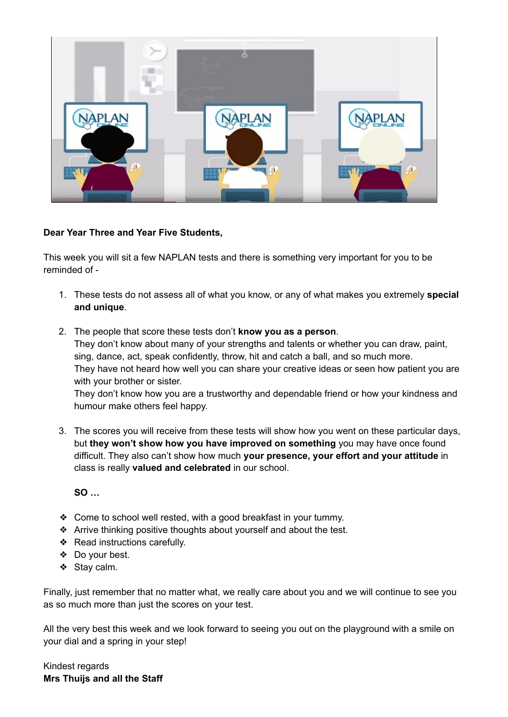

## **Dear Year Three and Year Five Students,**

This week you will sit a few NAPLAN tests and there is something very important for you to be reminded of -

- 1. These tests do not assess all of what you know, or any of what makes you extremely **special and unique**.
- 2. The people that score these tests don't **know you as a person**. They don't know about many of your strengths and talents or whether you can draw, paint, sing, dance, act, speak confidently, throw, hit and catch a ball, and so much more. They have not heard how well you can share your creative ideas or seen how patient you are with your brother or sister.

They don't know how you are a trustworthy and dependable friend or how your kindness and humour make others feel happy.

3. The scores you will receive from these tests will show how you went on these particular days, but **they won't show how you have improved on something** you may have once found difficult. They also can't show how much **your presence, your effort and your attitude** in class is really **valued and celebrated** in our school.

**SO …**

- ❖ Come to school well rested, with a good breakfast in your tummy.
- ❖ Arrive thinking positive thoughts about yourself and about the test.
- ❖ Read instructions carefully.
- ❖ Do your best.
- ❖ Stay calm.

Finally, just remember that no matter what, we really care about you and we will continue to see you as so much more than just the scores on your test.

All the very best this week and we look forward to seeing you out on the playground with a smile on your dial and a spring in your step!

Kindest regards **Mrs Thuijs and all the Staff**